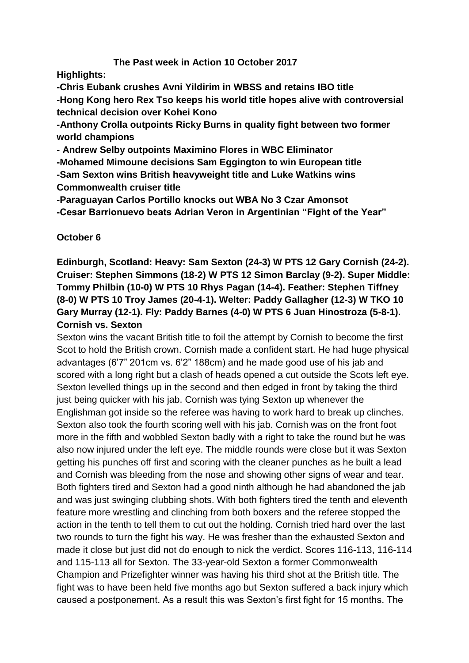# **The Past week in Action 10 October 2017**

**Highlights:**

**-Chris Eubank crushes Avni Yildirim in WBSS and retains IBO title -Hong Kong hero Rex Tso keeps his world title hopes alive with controversial technical decision over Kohei Kono**

**-Anthony Crolla outpoints Ricky Burns in quality fight between two former world champions**

**- Andrew Selby outpoints Maximino Flores in WBC Eliminator**

**-Mohamed Mimoune decisions Sam Eggington to win European title -Sam Sexton wins British heavyweight title and Luke Watkins wins** 

**Commonwealth cruiser title**

**-Paraguayan Carlos Portillo knocks out WBA No 3 Czar Amonsot**

**-Cesar Barrionuevo beats Adrian Veron in Argentinian "Fight of the Year"**

# **October 6**

**Edinburgh, Scotland: Heavy: Sam Sexton (24-3) W PTS 12 Gary Cornish (24-2). Cruiser: Stephen Simmons (18-2) W PTS 12 Simon Barclay (9-2). Super Middle: Tommy Philbin (10-0) W PTS 10 Rhys Pagan (14-4). Feather: Stephen Tiffney (8-0) W PTS 10 Troy James (20-4-1). Welter: Paddy Gallagher (12-3) W TKO 10 Gary Murray (12-1). Fly: Paddy Barnes (4-0) W PTS 6 Juan Hinostroza (5-8-1). Cornish vs. Sexton**

Sexton wins the vacant British title to foil the attempt by Cornish to become the first Scot to hold the British crown. Cornish made a confident start. He had huge physical advantages (6'7" 201cm vs. 6'2" 188cm) and he made good use of his jab and scored with a long right but a clash of heads opened a cut outside the Scots left eve. Sexton levelled things up in the second and then edged in front by taking the third just being quicker with his jab. Cornish was tying Sexton up whenever the Englishman got inside so the referee was having to work hard to break up clinches. Sexton also took the fourth scoring well with his jab. Cornish was on the front foot more in the fifth and wobbled Sexton badly with a right to take the round but he was also now injured under the left eye. The middle rounds were close but it was Sexton getting his punches off first and scoring with the cleaner punches as he built a lead and Cornish was bleeding from the nose and showing other signs of wear and tear. Both fighters tired and Sexton had a good ninth although he had abandoned the jab and was just swinging clubbing shots. With both fighters tired the tenth and eleventh feature more wrestling and clinching from both boxers and the referee stopped the action in the tenth to tell them to cut out the holding. Cornish tried hard over the last two rounds to turn the fight his way. He was fresher than the exhausted Sexton and made it close but just did not do enough to nick the verdict. Scores 116-113, 116-114 and 115-113 all for Sexton. The 33-year-old Sexton a former Commonwealth Champion and Prizefighter winner was having his third shot at the British title. The fight was to have been held five months ago but Sexton suffered a back injury which caused a postponement. As a result this was Sexton's first fight for 15 months. The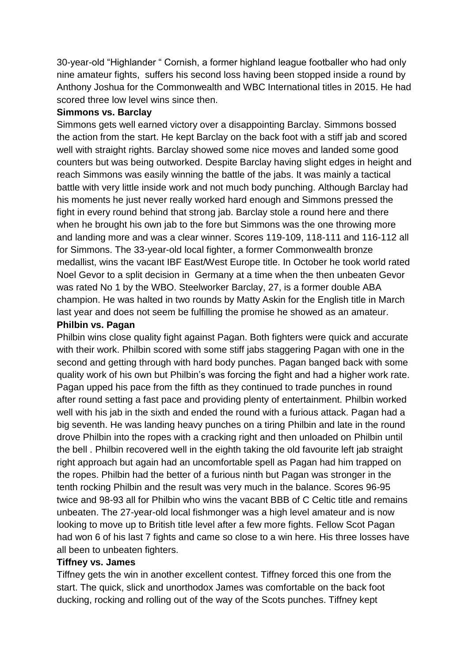30-year-old "Highlander " Cornish, a former highland league footballer who had only nine amateur fights, suffers his second loss having been stopped inside a round by Anthony Joshua for the Commonwealth and WBC International titles in 2015. He had scored three low level wins since then.

### **Simmons vs. Barclay**

Simmons gets well earned victory over a disappointing Barclay. Simmons bossed the action from the start. He kept Barclay on the back foot with a stiff jab and scored well with straight rights. Barclay showed some nice moves and landed some good counters but was being outworked. Despite Barclay having slight edges in height and reach Simmons was easily winning the battle of the jabs. It was mainly a tactical battle with very little inside work and not much body punching. Although Barclay had his moments he just never really worked hard enough and Simmons pressed the fight in every round behind that strong jab. Barclay stole a round here and there when he brought his own jab to the fore but Simmons was the one throwing more and landing more and was a clear winner. Scores 119-109, 118-111 and 116-112 all for Simmons. The 33-year-old local fighter, a former Commonwealth bronze medallist, wins the vacant IBF East/West Europe title. In October he took world rated Noel Gevor to a split decision in Germany at a time when the then unbeaten Gevor was rated No 1 by the WBO. Steelworker Barclay, 27, is a former double ABA champion. He was halted in two rounds by Matty Askin for the English title in March last year and does not seem be fulfilling the promise he showed as an amateur.

### **Philbin vs. Pagan**

Philbin wins close quality fight against Pagan. Both fighters were quick and accurate with their work. Philbin scored with some stiff jabs staggering Pagan with one in the second and getting through with hard body punches. Pagan banged back with some quality work of his own but Philbin's was forcing the fight and had a higher work rate. Pagan upped his pace from the fifth as they continued to trade punches in round after round setting a fast pace and providing plenty of entertainment. Philbin worked well with his jab in the sixth and ended the round with a furious attack. Pagan had a big seventh. He was landing heavy punches on a tiring Philbin and late in the round drove Philbin into the ropes with a cracking right and then unloaded on Philbin until the bell . Philbin recovered well in the eighth taking the old favourite left jab straight right approach but again had an uncomfortable spell as Pagan had him trapped on the ropes. Philbin had the better of a furious ninth but Pagan was stronger in the tenth rocking Philbin and the result was very much in the balance. Scores 96-95 twice and 98-93 all for Philbin who wins the vacant BBB of C Celtic title and remains unbeaten. The 27-year-old local fishmonger was a high level amateur and is now looking to move up to British title level after a few more fights. Fellow Scot Pagan had won 6 of his last 7 fights and came so close to a win here. His three losses have all been to unbeaten fighters.

### **Tiffney vs. James**

Tiffney gets the win in another excellent contest. Tiffney forced this one from the start. The quick, slick and unorthodox James was comfortable on the back foot ducking, rocking and rolling out of the way of the Scots punches. Tiffney kept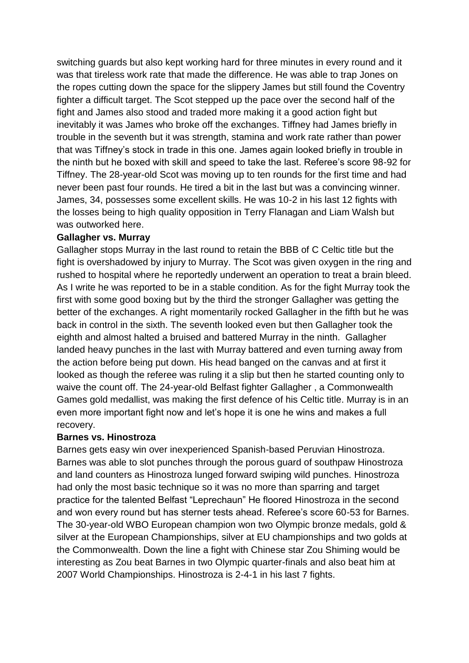switching guards but also kept working hard for three minutes in every round and it was that tireless work rate that made the difference. He was able to trap Jones on the ropes cutting down the space for the slippery James but still found the Coventry fighter a difficult target. The Scot stepped up the pace over the second half of the fight and James also stood and traded more making it a good action fight but inevitably it was James who broke off the exchanges. Tiffney had James briefly in trouble in the seventh but it was strength, stamina and work rate rather than power that was Tiffney's stock in trade in this one. James again looked briefly in trouble in the ninth but he boxed with skill and speed to take the last. Referee's score 98-92 for Tiffney. The 28-year-old Scot was moving up to ten rounds for the first time and had never been past four rounds. He tired a bit in the last but was a convincing winner. James, 34, possesses some excellent skills. He was 10-2 in his last 12 fights with the losses being to high quality opposition in Terry Flanagan and Liam Walsh but was outworked here.

### **Gallagher vs. Murray**

Gallagher stops Murray in the last round to retain the BBB of C Celtic title but the fight is overshadowed by injury to Murray. The Scot was given oxygen in the ring and rushed to hospital where he reportedly underwent an operation to treat a brain bleed. As I write he was reported to be in a stable condition. As for the fight Murray took the first with some good boxing but by the third the stronger Gallagher was getting the better of the exchanges. A right momentarily rocked Gallagher in the fifth but he was back in control in the sixth. The seventh looked even but then Gallagher took the eighth and almost halted a bruised and battered Murray in the ninth. Gallagher landed heavy punches in the last with Murray battered and even turning away from the action before being put down. His head banged on the canvas and at first it looked as though the referee was ruling it a slip but then he started counting only to waive the count off. The 24-year-old Belfast fighter Gallagher , a Commonwealth Games gold medallist, was making the first defence of his Celtic title. Murray is in an even more important fight now and let's hope it is one he wins and makes a full recovery.

### **Barnes vs. Hinostroza**

Barnes gets easy win over inexperienced Spanish-based Peruvian Hinostroza. Barnes was able to slot punches through the porous guard of southpaw Hinostroza and land counters as Hinostroza lunged forward swiping wild punches. Hinostroza had only the most basic technique so it was no more than sparring and target practice for the talented Belfast "Leprechaun" He floored Hinostroza in the second and won every round but has sterner tests ahead. Referee's score 60-53 for Barnes. The 30-year-old WBO European champion won two Olympic bronze medals, gold & silver at the European Championships, silver at EU championships and two golds at the Commonwealth. Down the line a fight with Chinese star Zou Shiming would be interesting as Zou beat Barnes in two Olympic quarter-finals and also beat him at 2007 World Championships. Hinostroza is 2-4-1 in his last 7 fights.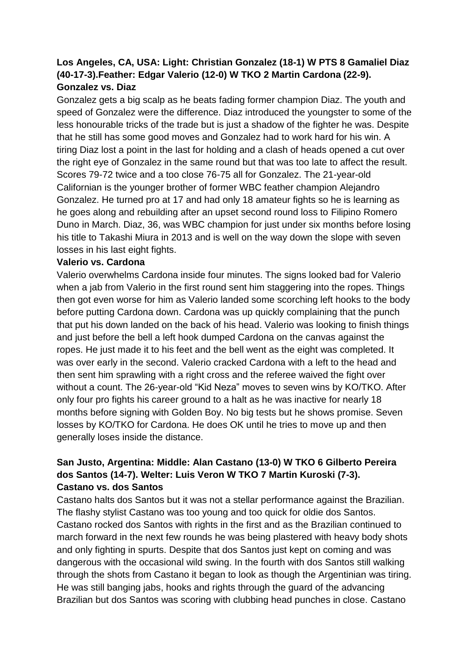# **Los Angeles, CA, USA: Light: Christian Gonzalez (18-1) W PTS 8 Gamaliel Diaz (40-17-3).Feather: Edgar Valerio (12-0) W TKO 2 Martin Cardona (22-9). Gonzalez vs. Diaz**

Gonzalez gets a big scalp as he beats fading former champion Diaz. The youth and speed of Gonzalez were the difference. Diaz introduced the youngster to some of the less honourable tricks of the trade but is just a shadow of the fighter he was. Despite that he still has some good moves and Gonzalez had to work hard for his win. A tiring Diaz lost a point in the last for holding and a clash of heads opened a cut over the right eye of Gonzalez in the same round but that was too late to affect the result. Scores 79-72 twice and a too close 76-75 all for Gonzalez. The 21-year-old Californian is the younger brother of former WBC feather champion Alejandro Gonzalez. He turned pro at 17 and had only 18 amateur fights so he is learning as he goes along and rebuilding after an upset second round loss to Filipino Romero Duno in March. Diaz, 36, was WBC champion for just under six months before losing his title to Takashi Miura in 2013 and is well on the way down the slope with seven losses in his last eight fights.

### **Valerio vs. Cardona**

Valerio overwhelms Cardona inside four minutes. The signs looked bad for Valerio when a jab from Valerio in the first round sent him staggering into the ropes. Things then got even worse for him as Valerio landed some scorching left hooks to the body before putting Cardona down. Cardona was up quickly complaining that the punch that put his down landed on the back of his head. Valerio was looking to finish things and just before the bell a left hook dumped Cardona on the canvas against the ropes. He just made it to his feet and the bell went as the eight was completed. It was over early in the second. Valerio cracked Cardona with a left to the head and then sent him sprawling with a right cross and the referee waived the fight over without a count. The 26-year-old "Kid Neza" moves to seven wins by KO/TKO. After only four pro fights his career ground to a halt as he was inactive for nearly 18 months before signing with Golden Boy. No big tests but he shows promise. Seven losses by KO/TKO for Cardona. He does OK until he tries to move up and then generally loses inside the distance.

# **San Justo, Argentina: Middle: Alan Castano (13-0) W TKO 6 Gilberto Pereira dos Santos (14-7). Welter: Luis Veron W TKO 7 Martin Kuroski (7-3). Castano vs. dos Santos**

Castano halts dos Santos but it was not a stellar performance against the Brazilian. The flashy stylist Castano was too young and too quick for oldie dos Santos. Castano rocked dos Santos with rights in the first and as the Brazilian continued to march forward in the next few rounds he was being plastered with heavy body shots and only fighting in spurts. Despite that dos Santos just kept on coming and was dangerous with the occasional wild swing. In the fourth with dos Santos still walking through the shots from Castano it began to look as though the Argentinian was tiring. He was still banging jabs, hooks and rights through the guard of the advancing Brazilian but dos Santos was scoring with clubbing head punches in close. Castano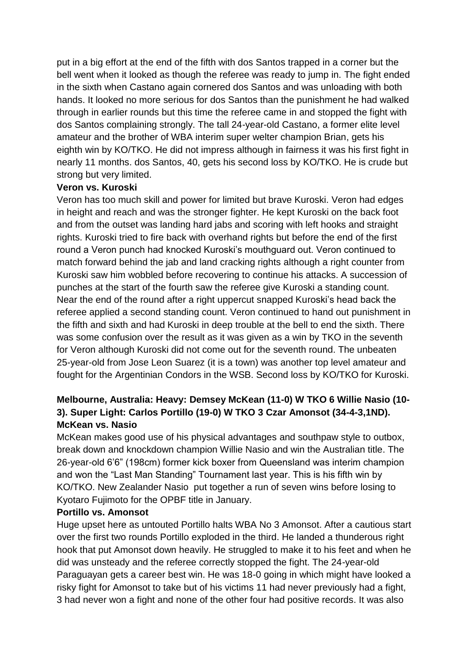put in a big effort at the end of the fifth with dos Santos trapped in a corner but the bell went when it looked as though the referee was ready to jump in. The fight ended in the sixth when Castano again cornered dos Santos and was unloading with both hands. It looked no more serious for dos Santos than the punishment he had walked through in earlier rounds but this time the referee came in and stopped the fight with dos Santos complaining strongly. The tall 24-year-old Castano, a former elite level amateur and the brother of WBA interim super welter champion Brian, gets his eighth win by KO/TKO. He did not impress although in fairness it was his first fight in nearly 11 months. dos Santos, 40, gets his second loss by KO/TKO. He is crude but strong but very limited.

### **Veron vs. Kuroski**

Veron has too much skill and power for limited but brave Kuroski. Veron had edges in height and reach and was the stronger fighter. He kept Kuroski on the back foot and from the outset was landing hard jabs and scoring with left hooks and straight rights. Kuroski tried to fire back with overhand rights but before the end of the first round a Veron punch had knocked Kuroski's mouthguard out. Veron continued to match forward behind the jab and land cracking rights although a right counter from Kuroski saw him wobbled before recovering to continue his attacks. A succession of punches at the start of the fourth saw the referee give Kuroski a standing count. Near the end of the round after a right uppercut snapped Kuroski's head back the referee applied a second standing count. Veron continued to hand out punishment in the fifth and sixth and had Kuroski in deep trouble at the bell to end the sixth. There was some confusion over the result as it was given as a win by TKO in the seventh for Veron although Kuroski did not come out for the seventh round. The unbeaten 25-year-old from Jose Leon Suarez (it is a town) was another top level amateur and fought for the Argentinian Condors in the WSB. Second loss by KO/TKO for Kuroski.

# **Melbourne, Australia: Heavy: Demsey McKean (11-0) W TKO 6 Willie Nasio (10- 3). Super Light: Carlos Portillo (19-0) W TKO 3 Czar Amonsot (34-4-3,1ND). McKean vs. Nasio**

McKean makes good use of his physical advantages and southpaw style to outbox, break down and knockdown champion Willie Nasio and win the Australian title. The 26-year-old 6'6" (198cm) former kick boxer from Queensland was interim champion and won the "Last Man Standing" Tournament last year. This is his fifth win by KO/TKO. New Zealander Nasio put together a run of seven wins before losing to Kyotaro Fujimoto for the OPBF title in January.

### **Portillo vs. Amonsot**

Huge upset here as untouted Portillo halts WBA No 3 Amonsot. After a cautious start over the first two rounds Portillo exploded in the third. He landed a thunderous right hook that put Amonsot down heavily. He struggled to make it to his feet and when he did was unsteady and the referee correctly stopped the fight. The 24-year-old Paraguayan gets a career best win. He was 18-0 going in which might have looked a risky fight for Amonsot to take but of his victims 11 had never previously had a fight, 3 had never won a fight and none of the other four had positive records. It was also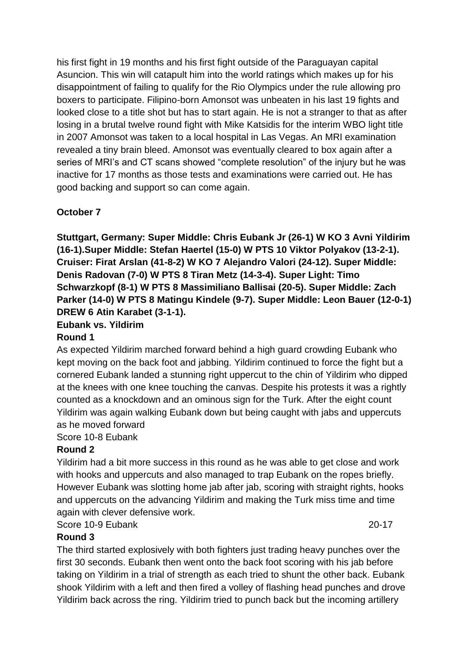his first fight in 19 months and his first fight outside of the Paraguayan capital Asuncion. This win will catapult him into the world ratings which makes up for his disappointment of failing to qualify for the Rio Olympics under the rule allowing pro boxers to participate. Filipino-born Amonsot was unbeaten in his last 19 fights and looked close to a title shot but has to start again. He is not a stranger to that as after losing in a brutal twelve round fight with Mike Katsidis for the interim WBO light title in 2007 Amonsot was taken to a local hospital in Las Vegas. An MRI examination revealed a tiny brain bleed. Amonsot was eventually cleared to box again after a series of MRI's and CT scans showed "complete resolution" of the injury but he was inactive for 17 months as those tests and examinations were carried out. He has good backing and support so can come again.

## **October 7**

**Stuttgart, Germany: Super Middle: Chris Eubank Jr (26-1) W KO 3 Avni Yildirim (16-1).Super Middle: Stefan Haertel (15-0) W PTS 10 Viktor Polyakov (13-2-1). Cruiser: Firat Arslan (41-8-2) W KO 7 Alejandro Valori (24-12). Super Middle: Denis Radovan (7-0) W PTS 8 Tiran Metz (14-3-4). Super Light: Timo Schwarzkopf (8-1) W PTS 8 Massimiliano Ballisai (20-5). Super Middle: Zach Parker (14-0) W PTS 8 Matingu Kindele (9-7). Super Middle: Leon Bauer (12-0-1) DREW 6 Atin Karabet (3-1-1).**

### **Eubank vs. Yildirim**

### **Round 1**

As expected Yildirim marched forward behind a high guard crowding Eubank who kept moving on the back foot and jabbing. Yildirim continued to force the fight but a cornered Eubank landed a stunning right uppercut to the chin of Yildirim who dipped at the knees with one knee touching the canvas. Despite his protests it was a rightly counted as a knockdown and an ominous sign for the Turk. After the eight count Yildirim was again walking Eubank down but being caught with jabs and uppercuts as he moved forward

Score 10-8 Eubank

### **Round 2**

Yildirim had a bit more success in this round as he was able to get close and work with hooks and uppercuts and also managed to trap Eubank on the ropes briefly. However Eubank was slotting home jab after jab, scoring with straight rights, hooks and uppercuts on the advancing Yildirim and making the Turk miss time and time again with clever defensive work.

Score 10-9 Eubank 20-17

### **Round 3**

The third started explosively with both fighters just trading heavy punches over the first 30 seconds. Eubank then went onto the back foot scoring with his jab before taking on Yildirim in a trial of strength as each tried to shunt the other back. Eubank shook Yildirim with a left and then fired a volley of flashing head punches and drove Yildirim back across the ring. Yildirim tried to punch back but the incoming artillery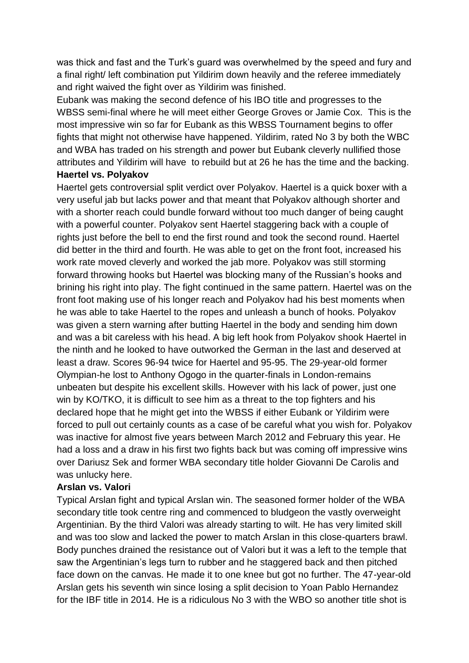was thick and fast and the Turk's guard was overwhelmed by the speed and fury and a final right/ left combination put Yildirim down heavily and the referee immediately and right waived the fight over as Yildirim was finished.

Eubank was making the second defence of his IBO title and progresses to the WBSS semi-final where he will meet either George Groves or Jamie Cox. This is the most impressive win so far for Eubank as this WBSS Tournament begins to offer fights that might not otherwise have happened. Yildirim, rated No 3 by both the WBC and WBA has traded on his strength and power but Eubank cleverly nullified those attributes and Yildirim will have to rebuild but at 26 he has the time and the backing.

### **Haertel vs. Polyakov**

Haertel gets controversial split verdict over Polyakov. Haertel is a quick boxer with a very useful jab but lacks power and that meant that Polyakov although shorter and with a shorter reach could bundle forward without too much danger of being caught with a powerful counter. Polyakov sent Haertel staggering back with a couple of rights just before the bell to end the first round and took the second round. Haertel did better in the third and fourth. He was able to get on the front foot, increased his work rate moved cleverly and worked the jab more. Polyakov was still storming forward throwing hooks but Haertel was blocking many of the Russian's hooks and brining his right into play. The fight continued in the same pattern. Haertel was on the front foot making use of his longer reach and Polyakov had his best moments when he was able to take Haertel to the ropes and unleash a bunch of hooks. Polyakov was given a stern warning after butting Haertel in the body and sending him down and was a bit careless with his head. A big left hook from Polyakov shook Haertel in the ninth and he looked to have outworked the German in the last and deserved at least a draw. Scores 96-94 twice for Haertel and 95-95. The 29-year-old former Olympian-he lost to Anthony Ogogo in the quarter-finals in London-remains unbeaten but despite his excellent skills. However with his lack of power, just one win by KO/TKO, it is difficult to see him as a threat to the top fighters and his declared hope that he might get into the WBSS if either Eubank or Yildirim were forced to pull out certainly counts as a case of be careful what you wish for. Polyakov was inactive for almost five years between March 2012 and February this year. He had a loss and a draw in his first two fights back but was coming off impressive wins over Dariusz Sek and former WBA secondary title holder Giovanni De Carolis and was unlucky here.

### **Arslan vs. Valori**

Typical Arslan fight and typical Arslan win. The seasoned former holder of the WBA secondary title took centre ring and commenced to bludgeon the vastly overweight Argentinian. By the third Valori was already starting to wilt. He has very limited skill and was too slow and lacked the power to match Arslan in this close-quarters brawl. Body punches drained the resistance out of Valori but it was a left to the temple that saw the Argentinian's legs turn to rubber and he staggered back and then pitched face down on the canvas. He made it to one knee but got no further. The 47-year-old Arslan gets his seventh win since losing a split decision to Yoan Pablo Hernandez for the IBF title in 2014. He is a ridiculous No 3 with the WBO so another title shot is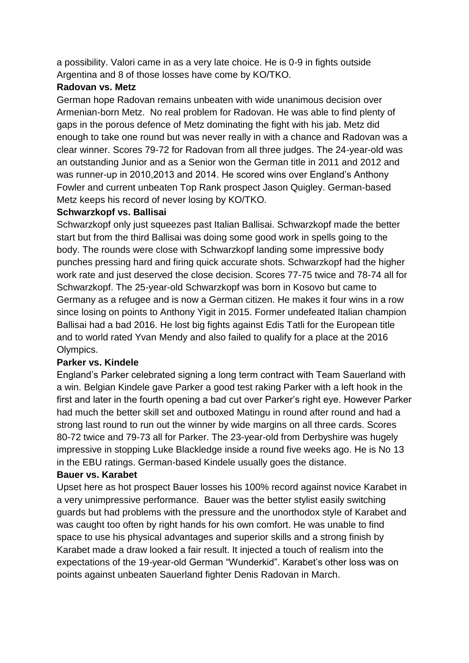a possibility. Valori came in as a very late choice. He is 0-9 in fights outside Argentina and 8 of those losses have come by KO/TKO.

## **Radovan vs. Metz**

German hope Radovan remains unbeaten with wide unanimous decision over Armenian-born Metz. No real problem for Radovan. He was able to find plenty of gaps in the porous defence of Metz dominating the fight with his jab. Metz did enough to take one round but was never really in with a chance and Radovan was a clear winner. Scores 79-72 for Radovan from all three judges. The 24-year-old was an outstanding Junior and as a Senior won the German title in 2011 and 2012 and was runner-up in 2010,2013 and 2014. He scored wins over England's Anthony Fowler and current unbeaten Top Rank prospect Jason Quigley. German-based Metz keeps his record of never losing by KO/TKO.

## **Schwarzkopf vs. Ballisai**

Schwarzkopf only just squeezes past Italian Ballisai. Schwarzkopf made the better start but from the third Ballisai was doing some good work in spells going to the body. The rounds were close with Schwarzkopf landing some impressive body punches pressing hard and firing quick accurate shots. Schwarzkopf had the higher work rate and just deserved the close decision. Scores 77-75 twice and 78-74 all for Schwarzkopf. The 25-year-old Schwarzkopf was born in Kosovo but came to Germany as a refugee and is now a German citizen. He makes it four wins in a row since losing on points to Anthony Yigit in 2015. Former undefeated Italian champion Ballisai had a bad 2016. He lost big fights against Edis Tatli for the European title and to world rated Yvan Mendy and also failed to qualify for a place at the 2016 Olympics.

### **Parker vs. Kindele**

England's Parker celebrated signing a long term contract with Team Sauerland with a win. Belgian Kindele gave Parker a good test raking Parker with a left hook in the first and later in the fourth opening a bad cut over Parker's right eye. However Parker had much the better skill set and outboxed Matingu in round after round and had a strong last round to run out the winner by wide margins on all three cards. Scores 80-72 twice and 79-73 all for Parker. The 23-year-old from Derbyshire was hugely impressive in stopping Luke Blackledge inside a round five weeks ago. He is No 13 in the EBU ratings. German-based Kindele usually goes the distance.

### **Bauer vs. Karabet**

Upset here as hot prospect Bauer losses his 100% record against novice Karabet in a very unimpressive performance. Bauer was the better stylist easily switching guards but had problems with the pressure and the unorthodox style of Karabet and was caught too often by right hands for his own comfort. He was unable to find space to use his physical advantages and superior skills and a strong finish by Karabet made a draw looked a fair result. It injected a touch of realism into the expectations of the 19-year-old German "Wunderkid". Karabet's other loss was on points against unbeaten Sauerland fighter Denis Radovan in March.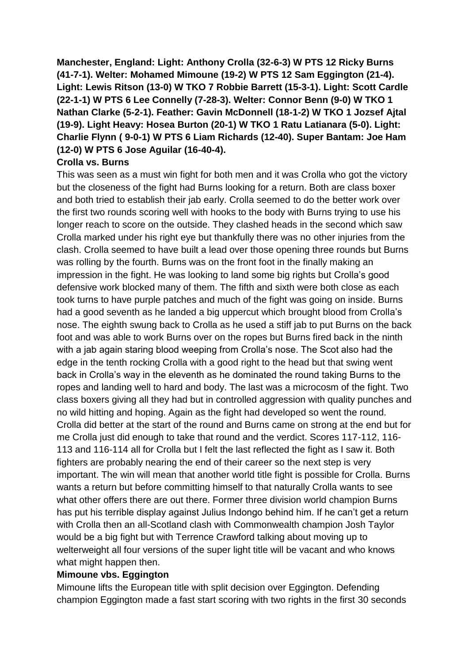**Manchester, England: Light: Anthony Crolla (32-6-3) W PTS 12 Ricky Burns (41-7-1). Welter: Mohamed Mimoune (19-2) W PTS 12 Sam Eggington (21-4). Light: Lewis Ritson (13-0) W TKO 7 Robbie Barrett (15-3-1). Light: Scott Cardle (22-1-1) W PTS 6 Lee Connelly (7-28-3). Welter: Connor Benn (9-0) W TKO 1 Nathan Clarke (5-2-1). Feather: Gavin McDonnell (18-1-2) W TKO 1 Jozsef Ajtal (19-9). Light Heavy: Hosea Burton (20-1) W TKO 1 Ratu Latianara (5-0). Light: Charlie Flynn ( 9-0-1) W PTS 6 Liam Richards (12-40). Super Bantam: Joe Ham (12-0) W PTS 6 Jose Aguilar (16-40-4).**

### **Crolla vs. Burns**

This was seen as a must win fight for both men and it was Crolla who got the victory but the closeness of the fight had Burns looking for a return. Both are class boxer and both tried to establish their jab early. Crolla seemed to do the better work over the first two rounds scoring well with hooks to the body with Burns trying to use his longer reach to score on the outside. They clashed heads in the second which saw Crolla marked under his right eye but thankfully there was no other injuries from the clash. Crolla seemed to have built a lead over those opening three rounds but Burns was rolling by the fourth. Burns was on the front foot in the finally making an impression in the fight. He was looking to land some big rights but Crolla's good defensive work blocked many of them. The fifth and sixth were both close as each took turns to have purple patches and much of the fight was going on inside. Burns had a good seventh as he landed a big uppercut which brought blood from Crolla's nose. The eighth swung back to Crolla as he used a stiff jab to put Burns on the back foot and was able to work Burns over on the ropes but Burns fired back in the ninth with a jab again staring blood weeping from Crolla's nose. The Scot also had the edge in the tenth rocking Crolla with a good right to the head but that swing went back in Crolla's way in the eleventh as he dominated the round taking Burns to the ropes and landing well to hard and body. The last was a microcosm of the fight. Two class boxers giving all they had but in controlled aggression with quality punches and no wild hitting and hoping. Again as the fight had developed so went the round. Crolla did better at the start of the round and Burns came on strong at the end but for me Crolla just did enough to take that round and the verdict. Scores 117-112, 116- 113 and 116-114 all for Crolla but I felt the last reflected the fight as I saw it. Both fighters are probably nearing the end of their career so the next step is very important. The win will mean that another world title fight is possible for Crolla. Burns wants a return but before committing himself to that naturally Crolla wants to see what other offers there are out there. Former three division world champion Burns has put his terrible display against Julius Indongo behind him. If he can't get a return with Crolla then an all-Scotland clash with Commonwealth champion Josh Taylor would be a big fight but with Terrence Crawford talking about moving up to welterweight all four versions of the super light title will be vacant and who knows what might happen then.

### **Mimoune vbs. Eggington**

Mimoune lifts the European title with split decision over Eggington. Defending champion Eggington made a fast start scoring with two rights in the first 30 seconds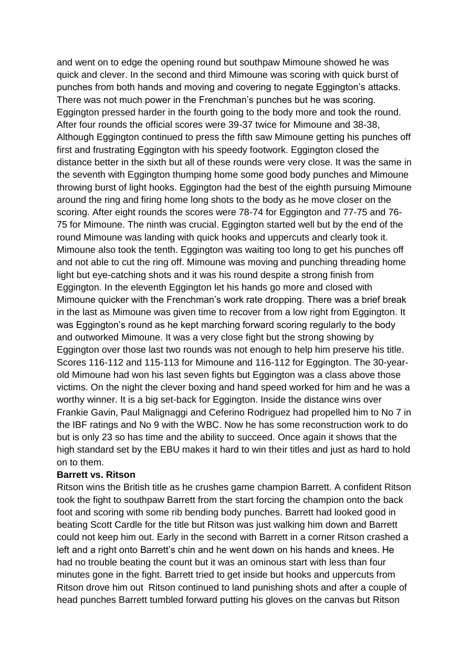and went on to edge the opening round but southpaw Mimoune showed he was quick and clever. In the second and third Mimoune was scoring with quick burst of punches from both hands and moving and covering to negate Eggington's attacks. There was not much power in the Frenchman's punches but he was scoring. Eggington pressed harder in the fourth going to the body more and took the round. After four rounds the official scores were 39-37 twice for Mimoune and 38-38, Although Eggington continued to press the fifth saw Mimoune getting his punches off first and frustrating Eggington with his speedy footwork. Eggington closed the distance better in the sixth but all of these rounds were very close. It was the same in the seventh with Eggington thumping home some good body punches and Mimoune throwing burst of light hooks. Eggington had the best of the eighth pursuing Mimoune around the ring and firing home long shots to the body as he move closer on the scoring. After eight rounds the scores were 78-74 for Eggington and 77-75 and 76- 75 for Mimoune. The ninth was crucial. Eggington started well but by the end of the round Mimoune was landing with quick hooks and uppercuts and clearly took it. Mimoune also took the tenth. Eggington was waiting too long to get his punches off and not able to cut the ring off. Mimoune was moving and punching threading home light but eye-catching shots and it was his round despite a strong finish from Eggington. In the eleventh Eggington let his hands go more and closed with Mimoune quicker with the Frenchman's work rate dropping. There was a brief break in the last as Mimoune was given time to recover from a low right from Eggington. It was Eggington's round as he kept marching forward scoring regularly to the body and outworked Mimoune. It was a very close fight but the strong showing by Eggington over those last two rounds was not enough to help him preserve his title. Scores 116-112 and 115-113 for Mimoune and 116-112 for Eggington. The 30-yearold Mimoune had won his last seven fights but Eggington was a class above those victims. On the night the clever boxing and hand speed worked for him and he was a worthy winner. It is a big set-back for Eggington. Inside the distance wins over Frankie Gavin, Paul Malignaggi and Ceferino Rodriguez had propelled him to No 7 in the IBF ratings and No 9 with the WBC. Now he has some reconstruction work to do but is only 23 so has time and the ability to succeed. Once again it shows that the high standard set by the EBU makes it hard to win their titles and just as hard to hold on to them.

### **Barrett vs. Ritson**

Ritson wins the British title as he crushes game champion Barrett. A confident Ritson took the fight to southpaw Barrett from the start forcing the champion onto the back foot and scoring with some rib bending body punches. Barrett had looked good in beating Scott Cardle for the title but Ritson was just walking him down and Barrett could not keep him out. Early in the second with Barrett in a corner Ritson crashed a left and a right onto Barrett's chin and he went down on his hands and knees. He had no trouble beating the count but it was an ominous start with less than four minutes gone in the fight. Barrett tried to get inside but hooks and uppercuts from Ritson drove him out Ritson continued to land punishing shots and after a couple of head punches Barrett tumbled forward putting his gloves on the canvas but Ritson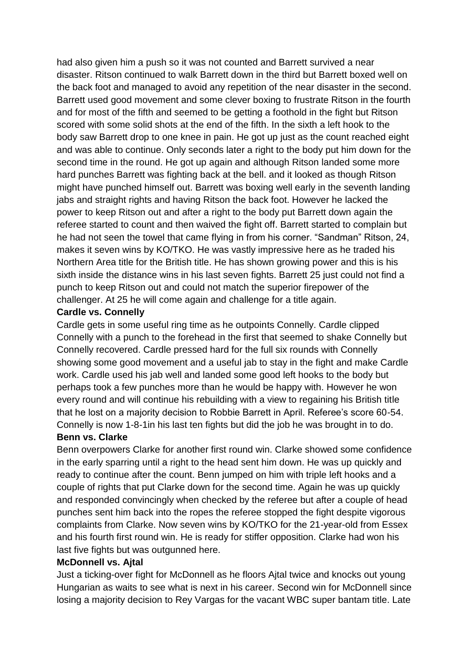had also given him a push so it was not counted and Barrett survived a near disaster. Ritson continued to walk Barrett down in the third but Barrett boxed well on the back foot and managed to avoid any repetition of the near disaster in the second. Barrett used good movement and some clever boxing to frustrate Ritson in the fourth and for most of the fifth and seemed to be getting a foothold in the fight but Ritson scored with some solid shots at the end of the fifth. In the sixth a left hook to the body saw Barrett drop to one knee in pain. He got up just as the count reached eight and was able to continue. Only seconds later a right to the body put him down for the second time in the round. He got up again and although Ritson landed some more hard punches Barrett was fighting back at the bell. and it looked as though Ritson might have punched himself out. Barrett was boxing well early in the seventh landing jabs and straight rights and having Ritson the back foot. However he lacked the power to keep Ritson out and after a right to the body put Barrett down again the referee started to count and then waived the fight off. Barrett started to complain but he had not seen the towel that came flying in from his corner. "Sandman" Ritson, 24, makes it seven wins by KO/TKO. He was vastly impressive here as he traded his Northern Area title for the British title. He has shown growing power and this is his sixth inside the distance wins in his last seven fights. Barrett 25 just could not find a punch to keep Ritson out and could not match the superior firepower of the challenger. At 25 he will come again and challenge for a title again.

### **Cardle vs. Connelly**

Cardle gets in some useful ring time as he outpoints Connelly. Cardle clipped Connelly with a punch to the forehead in the first that seemed to shake Connelly but Connelly recovered. Cardle pressed hard for the full six rounds with Connelly showing some good movement and a useful jab to stay in the fight and make Cardle work. Cardle used his jab well and landed some good left hooks to the body but perhaps took a few punches more than he would be happy with. However he won every round and will continue his rebuilding with a view to regaining his British title that he lost on a majority decision to Robbie Barrett in April. Referee's score 60-54. Connelly is now 1-8-1in his last ten fights but did the job he was brought in to do. **Benn vs. Clarke**

Benn overpowers Clarke for another first round win. Clarke showed some confidence in the early sparring until a right to the head sent him down. He was up quickly and ready to continue after the count. Benn jumped on him with triple left hooks and a couple of rights that put Clarke down for the second time. Again he was up quickly and responded convincingly when checked by the referee but after a couple of head punches sent him back into the ropes the referee stopped the fight despite vigorous complaints from Clarke. Now seven wins by KO/TKO for the 21-year-old from Essex and his fourth first round win. He is ready for stiffer opposition. Clarke had won his last five fights but was outgunned here.

### **McDonnell vs. Ajtal**

Just a ticking-over fight for McDonnell as he floors Ajtal twice and knocks out young Hungarian as waits to see what is next in his career. Second win for McDonnell since losing a majority decision to Rey Vargas for the vacant WBC super bantam title. Late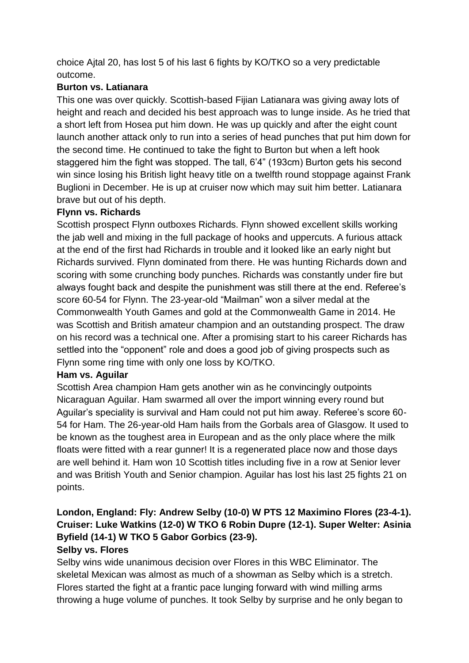choice Ajtal 20, has lost 5 of his last 6 fights by KO/TKO so a very predictable outcome.

# **Burton vs. Latianara**

This one was over quickly. Scottish-based Fijian Latianara was giving away lots of height and reach and decided his best approach was to lunge inside. As he tried that a short left from Hosea put him down. He was up quickly and after the eight count launch another attack only to run into a series of head punches that put him down for the second time. He continued to take the fight to Burton but when a left hook staggered him the fight was stopped. The tall, 6'4" (193cm) Burton gets his second win since losing his British light heavy title on a twelfth round stoppage against Frank Buglioni in December. He is up at cruiser now which may suit him better. Latianara brave but out of his depth.

## **Flynn vs. Richards**

Scottish prospect Flynn outboxes Richards. Flynn showed excellent skills working the jab well and mixing in the full package of hooks and uppercuts. A furious attack at the end of the first had Richards in trouble and it looked like an early night but Richards survived. Flynn dominated from there. He was hunting Richards down and scoring with some crunching body punches. Richards was constantly under fire but always fought back and despite the punishment was still there at the end. Referee's score 60-54 for Flynn. The 23-year-old "Mailman" won a silver medal at the Commonwealth Youth Games and gold at the Commonwealth Game in 2014. He was Scottish and British amateur champion and an outstanding prospect. The draw on his record was a technical one. After a promising start to his career Richards has settled into the "opponent" role and does a good job of giving prospects such as Flynn some ring time with only one loss by KO/TKO.

### **Ham vs. Aguilar**

Scottish Area champion Ham gets another win as he convincingly outpoints Nicaraguan Aguilar. Ham swarmed all over the import winning every round but Aguilar's speciality is survival and Ham could not put him away. Referee's score 60- 54 for Ham. The 26-year-old Ham hails from the Gorbals area of Glasgow. It used to be known as the toughest area in European and as the only place where the milk floats were fitted with a rear gunner! It is a regenerated place now and those days are well behind it. Ham won 10 Scottish titles including five in a row at Senior lever and was British Youth and Senior champion. Aguilar has lost his last 25 fights 21 on points.

# **London, England: Fly: Andrew Selby (10-0) W PTS 12 Maximino Flores (23-4-1). Cruiser: Luke Watkins (12-0) W TKO 6 Robin Dupre (12-1). Super Welter: Asinia Byfield (14-1) W TKO 5 Gabor Gorbics (23-9).**

### **Selby vs. Flores**

Selby wins wide unanimous decision over Flores in this WBC Eliminator. The skeletal Mexican was almost as much of a showman as Selby which is a stretch. Flores started the fight at a frantic pace lunging forward with wind milling arms throwing a huge volume of punches. It took Selby by surprise and he only began to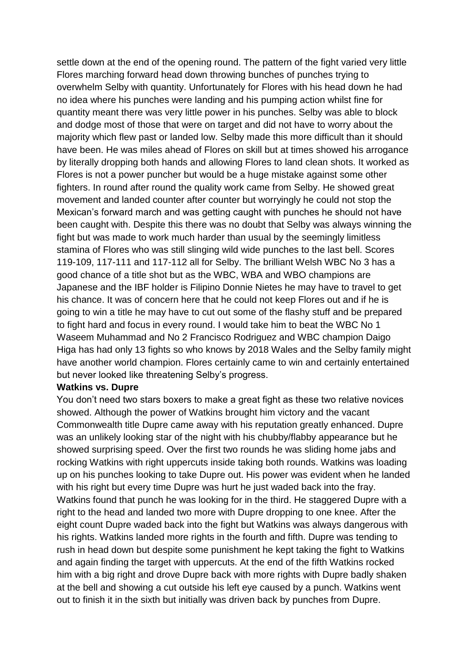settle down at the end of the opening round. The pattern of the fight varied very little Flores marching forward head down throwing bunches of punches trying to overwhelm Selby with quantity. Unfortunately for Flores with his head down he had no idea where his punches were landing and his pumping action whilst fine for quantity meant there was very little power in his punches. Selby was able to block and dodge most of those that were on target and did not have to worry about the majority which flew past or landed low. Selby made this more difficult than it should have been. He was miles ahead of Flores on skill but at times showed his arrogance by literally dropping both hands and allowing Flores to land clean shots. It worked as Flores is not a power puncher but would be a huge mistake against some other fighters. In round after round the quality work came from Selby. He showed great movement and landed counter after counter but worryingly he could not stop the Mexican's forward march and was getting caught with punches he should not have been caught with. Despite this there was no doubt that Selby was always winning the fight but was made to work much harder than usual by the seemingly limitless stamina of Flores who was still slinging wild wide punches to the last bell. Scores 119-109, 117-111 and 117-112 all for Selby. The brilliant Welsh WBC No 3 has a good chance of a title shot but as the WBC, WBA and WBO champions are Japanese and the IBF holder is Filipino Donnie Nietes he may have to travel to get his chance. It was of concern here that he could not keep Flores out and if he is going to win a title he may have to cut out some of the flashy stuff and be prepared to fight hard and focus in every round. I would take him to beat the WBC No 1 Waseem Muhammad and No 2 Francisco Rodriguez and WBC champion Daigo Higa has had only 13 fights so who knows by 2018 Wales and the Selby family might have another world champion. Flores certainly came to win and certainly entertained but never looked like threatening Selby's progress.

### **Watkins vs. Dupre**

You don't need two stars boxers to make a great fight as these two relative novices showed. Although the power of Watkins brought him victory and the vacant Commonwealth title Dupre came away with his reputation greatly enhanced. Dupre was an unlikely looking star of the night with his chubby/flabby appearance but he showed surprising speed. Over the first two rounds he was sliding home jabs and rocking Watkins with right uppercuts inside taking both rounds. Watkins was loading up on his punches looking to take Dupre out. His power was evident when he landed with his right but every time Dupre was hurt he just waded back into the fray. Watkins found that punch he was looking for in the third. He staggered Dupre with a right to the head and landed two more with Dupre dropping to one knee. After the eight count Dupre waded back into the fight but Watkins was always dangerous with his rights. Watkins landed more rights in the fourth and fifth. Dupre was tending to rush in head down but despite some punishment he kept taking the fight to Watkins and again finding the target with uppercuts. At the end of the fifth Watkins rocked him with a big right and drove Dupre back with more rights with Dupre badly shaken at the bell and showing a cut outside his left eye caused by a punch. Watkins went out to finish it in the sixth but initially was driven back by punches from Dupre.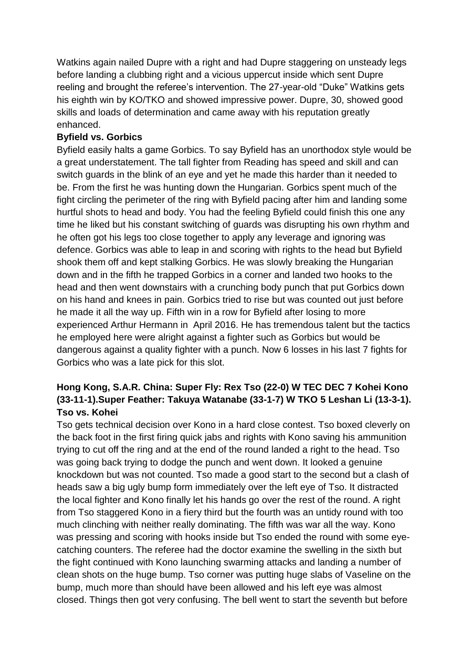Watkins again nailed Dupre with a right and had Dupre staggering on unsteady legs before landing a clubbing right and a vicious uppercut inside which sent Dupre reeling and brought the referee's intervention. The 27-year-old "Duke" Watkins gets his eighth win by KO/TKO and showed impressive power. Dupre, 30, showed good skills and loads of determination and came away with his reputation greatly enhanced.

## **Byfield vs. Gorbics**

Byfield easily halts a game Gorbics. To say Byfield has an unorthodox style would be a great understatement. The tall fighter from Reading has speed and skill and can switch guards in the blink of an eye and yet he made this harder than it needed to be. From the first he was hunting down the Hungarian. Gorbics spent much of the fight circling the perimeter of the ring with Byfield pacing after him and landing some hurtful shots to head and body. You had the feeling Byfield could finish this one any time he liked but his constant switching of guards was disrupting his own rhythm and he often got his legs too close together to apply any leverage and ignoring was defence. Gorbics was able to leap in and scoring with rights to the head but Byfield shook them off and kept stalking Gorbics. He was slowly breaking the Hungarian down and in the fifth he trapped Gorbics in a corner and landed two hooks to the head and then went downstairs with a crunching body punch that put Gorbics down on his hand and knees in pain. Gorbics tried to rise but was counted out just before he made it all the way up. Fifth win in a row for Byfield after losing to more experienced Arthur Hermann in April 2016. He has tremendous talent but the tactics he employed here were alright against a fighter such as Gorbics but would be dangerous against a quality fighter with a punch. Now 6 losses in his last 7 fights for Gorbics who was a late pick for this slot.

# **Hong Kong, S.A.R. China: Super Fly: Rex Tso (22-0) W TEC DEC 7 Kohei Kono (33-11-1).Super Feather: Takuya Watanabe (33-1-7) W TKO 5 Leshan Li (13-3-1). Tso vs. Kohei**

Tso gets technical decision over Kono in a hard close contest. Tso boxed cleverly on the back foot in the first firing quick jabs and rights with Kono saving his ammunition trying to cut off the ring and at the end of the round landed a right to the head. Tso was going back trying to dodge the punch and went down. It looked a genuine knockdown but was not counted. Tso made a good start to the second but a clash of heads saw a big ugly bump form immediately over the left eye of Tso. It distracted the local fighter and Kono finally let his hands go over the rest of the round. A right from Tso staggered Kono in a fiery third but the fourth was an untidy round with too much clinching with neither really dominating. The fifth was war all the way. Kono was pressing and scoring with hooks inside but Tso ended the round with some eyecatching counters. The referee had the doctor examine the swelling in the sixth but the fight continued with Kono launching swarming attacks and landing a number of clean shots on the huge bump. Tso corner was putting huge slabs of Vaseline on the bump, much more than should have been allowed and his left eye was almost closed. Things then got very confusing. The bell went to start the seventh but before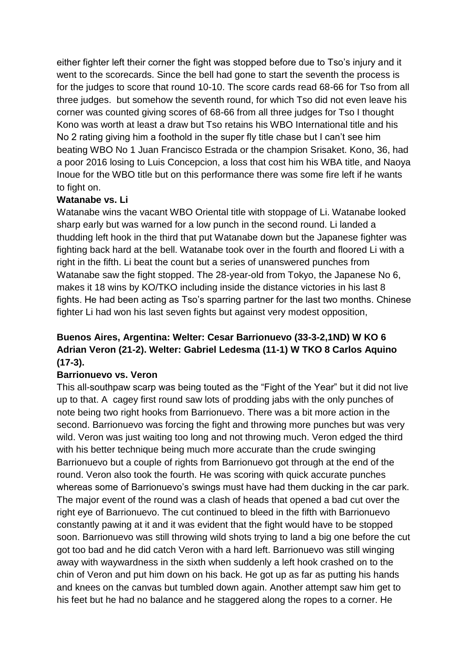either fighter left their corner the fight was stopped before due to Tso's injury and it went to the scorecards. Since the bell had gone to start the seventh the process is for the judges to score that round 10-10. The score cards read 68-66 for Tso from all three judges. but somehow the seventh round, for which Tso did not even leave his corner was counted giving scores of 68-66 from all three judges for Tso I thought Kono was worth at least a draw but Tso retains his WBO International title and his No 2 rating giving him a foothold in the super fly title chase but I can't see him beating WBO No 1 Juan Francisco Estrada or the champion Srisaket. Kono, 36, had a poor 2016 losing to Luis Concepcion, a loss that cost him his WBA title, and Naoya Inoue for the WBO title but on this performance there was some fire left if he wants to fight on.

### **Watanabe vs. Li**

Watanabe wins the vacant WBO Oriental title with stoppage of Li. Watanabe looked sharp early but was warned for a low punch in the second round. Li landed a thudding left hook in the third that put Watanabe down but the Japanese fighter was fighting back hard at the bell. Watanabe took over in the fourth and floored Li with a right in the fifth. Li beat the count but a series of unanswered punches from Watanabe saw the fight stopped. The 28-year-old from Tokyo, the Japanese No 6, makes it 18 wins by KO/TKO including inside the distance victories in his last 8 fights. He had been acting as Tso's sparring partner for the last two months. Chinese fighter Li had won his last seven fights but against very modest opposition,

# **Buenos Aires, Argentina: Welter: Cesar Barrionuevo (33-3-2,1ND) W KO 6 Adrian Veron (21-2). Welter: Gabriel Ledesma (11-1) W TKO 8 Carlos Aquino (17-3).**

### **Barrionuevo vs. Veron**

This all-southpaw scarp was being touted as the "Fight of the Year" but it did not live up to that. A cagey first round saw lots of prodding jabs with the only punches of note being two right hooks from Barrionuevo. There was a bit more action in the second. Barrionuevo was forcing the fight and throwing more punches but was very wild. Veron was just waiting too long and not throwing much. Veron edged the third with his better technique being much more accurate than the crude swinging Barrionuevo but a couple of rights from Barrionuevo got through at the end of the round. Veron also took the fourth. He was scoring with quick accurate punches whereas some of Barrionuevo's swings must have had them ducking in the car park. The major event of the round was a clash of heads that opened a bad cut over the right eye of Barrionuevo. The cut continued to bleed in the fifth with Barrionuevo constantly pawing at it and it was evident that the fight would have to be stopped soon. Barrionuevo was still throwing wild shots trying to land a big one before the cut got too bad and he did catch Veron with a hard left. Barrionuevo was still winging away with waywardness in the sixth when suddenly a left hook crashed on to the chin of Veron and put him down on his back. He got up as far as putting his hands and knees on the canvas but tumbled down again. Another attempt saw him get to his feet but he had no balance and he staggered along the ropes to a corner. He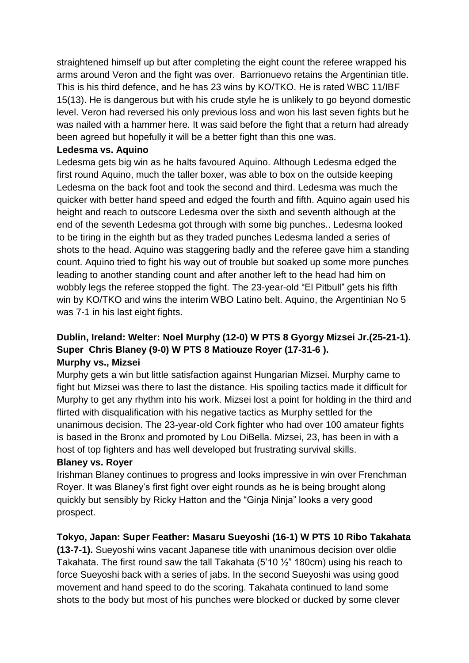straightened himself up but after completing the eight count the referee wrapped his arms around Veron and the fight was over. Barrionuevo retains the Argentinian title. This is his third defence, and he has 23 wins by KO/TKO. He is rated WBC 11/IBF 15(13). He is dangerous but with his crude style he is unlikely to go beyond domestic level. Veron had reversed his only previous loss and won his last seven fights but he was nailed with a hammer here. It was said before the fight that a return had already been agreed but hopefully it will be a better fight than this one was.

### **Ledesma vs. Aquino**

Ledesma gets big win as he halts favoured Aquino. Although Ledesma edged the first round Aquino, much the taller boxer, was able to box on the outside keeping Ledesma on the back foot and took the second and third. Ledesma was much the quicker with better hand speed and edged the fourth and fifth. Aquino again used his height and reach to outscore Ledesma over the sixth and seventh although at the end of the seventh Ledesma got through with some big punches.. Ledesma looked to be tiring in the eighth but as they traded punches Ledesma landed a series of shots to the head. Aquino was staggering badly and the referee gave him a standing count. Aquino tried to fight his way out of trouble but soaked up some more punches leading to another standing count and after another left to the head had him on wobbly legs the referee stopped the fight. The 23-year-old "El Pitbull" gets his fifth win by KO/TKO and wins the interim WBO Latino belt. Aquino, the Argentinian No 5 was 7-1 in his last eight fights.

## **Dublin, Ireland: Welter: Noel Murphy (12-0) W PTS 8 Gyorgy Mizsei Jr.(25-21-1). Super Chris Blaney (9-0) W PTS 8 Matiouze Royer (17-31-6 ). Murphy vs., Mizsei**

Murphy gets a win but little satisfaction against Hungarian Mizsei. Murphy came to fight but Mizsei was there to last the distance. His spoiling tactics made it difficult for Murphy to get any rhythm into his work. Mizsei lost a point for holding in the third and flirted with disqualification with his negative tactics as Murphy settled for the unanimous decision. The 23-year-old Cork fighter who had over 100 amateur fights is based in the Bronx and promoted by Lou DiBella. Mizsei, 23, has been in with a host of top fighters and has well developed but frustrating survival skills.

### **Blaney vs. Royer**

Irishman Blaney continues to progress and looks impressive in win over Frenchman Royer. It was Blaney's first fight over eight rounds as he is being brought along quickly but sensibly by Ricky Hatton and the "Ginja Ninja" looks a very good prospect.

### **Tokyo, Japan: Super Feather: Masaru Sueyoshi (16-1) W PTS 10 Ribo Takahata**

**(13-7-1).** Sueyoshi wins vacant Japanese title with unanimous decision over oldie Takahata. The first round saw the tall Takahata (5'10 ½" 180cm) using his reach to force Sueyoshi back with a series of jabs. In the second Sueyoshi was using good movement and hand speed to do the scoring. Takahata continued to land some shots to the body but most of his punches were blocked or ducked by some clever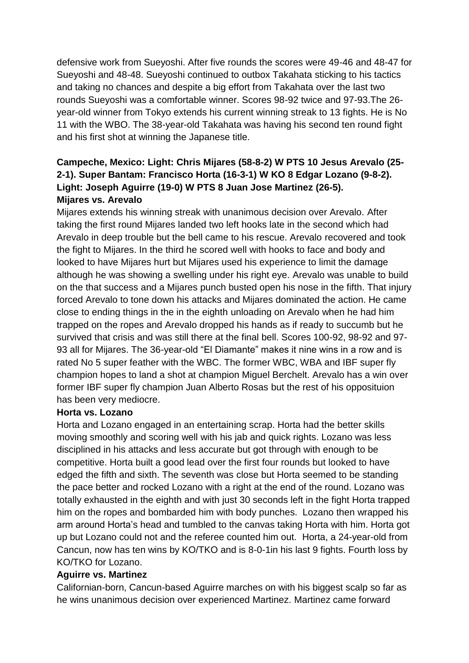defensive work from Sueyoshi. After five rounds the scores were 49-46 and 48-47 for Sueyoshi and 48-48. Sueyoshi continued to outbox Takahata sticking to his tactics and taking no chances and despite a big effort from Takahata over the last two rounds Sueyoshi was a comfortable winner. Scores 98-92 twice and 97-93.The 26 year-old winner from Tokyo extends his current winning streak to 13 fights. He is No 11 with the WBO. The 38-year-old Takahata was having his second ten round fight and his first shot at winning the Japanese title.

# **Campeche, Mexico: Light: Chris Mijares (58-8-2) W PTS 10 Jesus Arevalo (25- 2-1). Super Bantam: Francisco Horta (16-3-1) W KO 8 Edgar Lozano (9-8-2). Light: Joseph Aguirre (19-0) W PTS 8 Juan Jose Martinez (26-5). Mijares vs. Arevalo**

Mijares extends his winning streak with unanimous decision over Arevalo. After taking the first round Mijares landed two left hooks late in the second which had Arevalo in deep trouble but the bell came to his rescue. Arevalo recovered and took the fight to Mijares. In the third he scored well with hooks to face and body and looked to have Mijares hurt but Mijares used his experience to limit the damage although he was showing a swelling under his right eye. Arevalo was unable to build on the that success and a Mijares punch busted open his nose in the fifth. That injury forced Arevalo to tone down his attacks and Mijares dominated the action. He came close to ending things in the in the eighth unloading on Arevalo when he had him trapped on the ropes and Arevalo dropped his hands as if ready to succumb but he survived that crisis and was still there at the final bell. Scores 100-92, 98-92 and 97- 93 all for Mijares. The 36-year-old "El Diamante" makes it nine wins in a row and is rated No 5 super feather with the WBC. The former WBC, WBA and IBF super fly champion hopes to land a shot at champion Miguel Berchelt. Arevalo has a win over former IBF super fly champion Juan Alberto Rosas but the rest of his opposituion has been very mediocre.

### **Horta vs. Lozano**

Horta and Lozano engaged in an entertaining scrap. Horta had the better skills moving smoothly and scoring well with his jab and quick rights. Lozano was less disciplined in his attacks and less accurate but got through with enough to be competitive. Horta built a good lead over the first four rounds but looked to have edged the fifth and sixth. The seventh was close but Horta seemed to be standing the pace better and rocked Lozano with a right at the end of the round. Lozano was totally exhausted in the eighth and with just 30 seconds left in the fight Horta trapped him on the ropes and bombarded him with body punches. Lozano then wrapped his arm around Horta's head and tumbled to the canvas taking Horta with him. Horta got up but Lozano could not and the referee counted him out. Horta, a 24-year-old from Cancun, now has ten wins by KO/TKO and is 8-0-1in his last 9 fights. Fourth loss by KO/TKO for Lozano.

### **Aguirre vs. Martinez**

Californian-born, Cancun-based Aguirre marches on with his biggest scalp so far as he wins unanimous decision over experienced Martinez. Martinez came forward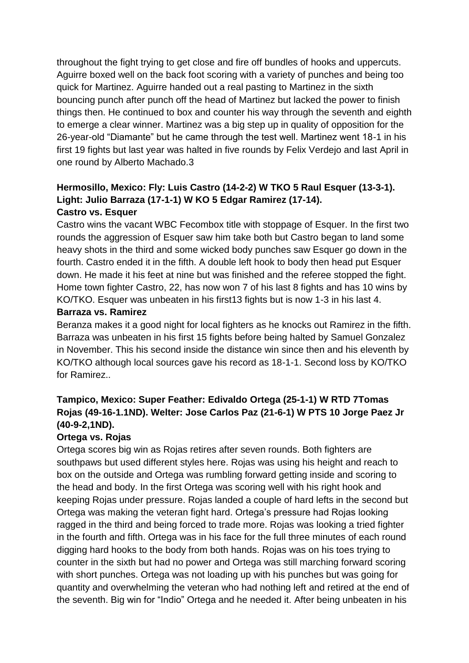throughout the fight trying to get close and fire off bundles of hooks and uppercuts. Aguirre boxed well on the back foot scoring with a variety of punches and being too quick for Martinez. Aguirre handed out a real pasting to Martinez in the sixth bouncing punch after punch off the head of Martinez but lacked the power to finish things then. He continued to box and counter his way through the seventh and eighth to emerge a clear winner. Martinez was a big step up in quality of opposition for the 26-year-old "Diamante" but he came through the test well. Martinez went 18-1 in his first 19 fights but last year was halted in five rounds by Felix Verdejo and last April in one round by Alberto Machado.3

## **Hermosillo, Mexico: Fly: Luis Castro (14-2-2) W TKO 5 Raul Esquer (13-3-1). Light: Julio Barraza (17-1-1) W KO 5 Edgar Ramirez (17-14). Castro vs. Esquer**

Castro wins the vacant WBC Fecombox title with stoppage of Esquer. In the first two rounds the aggression of Esquer saw him take both but Castro began to land some heavy shots in the third and some wicked body punches saw Esquer go down in the fourth. Castro ended it in the fifth. A double left hook to body then head put Esquer down. He made it his feet at nine but was finished and the referee stopped the fight. Home town fighter Castro, 22, has now won 7 of his last 8 fights and has 10 wins by KO/TKO. Esquer was unbeaten in his first13 fights but is now 1-3 in his last 4.

### **Barraza vs. Ramirez**

Beranza makes it a good night for local fighters as he knocks out Ramirez in the fifth. Barraza was unbeaten in his first 15 fights before being halted by Samuel Gonzalez in November. This his second inside the distance win since then and his eleventh by KO/TKO although local sources gave his record as 18-1-1. Second loss by KO/TKO for Ramirez..

# **Tampico, Mexico: Super Feather: Edivaldo Ortega (25-1-1) W RTD 7Tomas Rojas (49-16-1.1ND). Welter: Jose Carlos Paz (21-6-1) W PTS 10 Jorge Paez Jr (40-9-2,1ND).**

### **Ortega vs. Rojas**

Ortega scores big win as Rojas retires after seven rounds. Both fighters are southpaws but used different styles here. Rojas was using his height and reach to box on the outside and Ortega was rumbling forward getting inside and scoring to the head and body. In the first Ortega was scoring well with his right hook and keeping Rojas under pressure. Rojas landed a couple of hard lefts in the second but Ortega was making the veteran fight hard. Ortega's pressure had Rojas looking ragged in the third and being forced to trade more. Rojas was looking a tried fighter in the fourth and fifth. Ortega was in his face for the full three minutes of each round digging hard hooks to the body from both hands. Rojas was on his toes trying to counter in the sixth but had no power and Ortega was still marching forward scoring with short punches. Ortega was not loading up with his punches but was going for quantity and overwhelming the veteran who had nothing left and retired at the end of the seventh. Big win for "Indio" Ortega and he needed it. After being unbeaten in his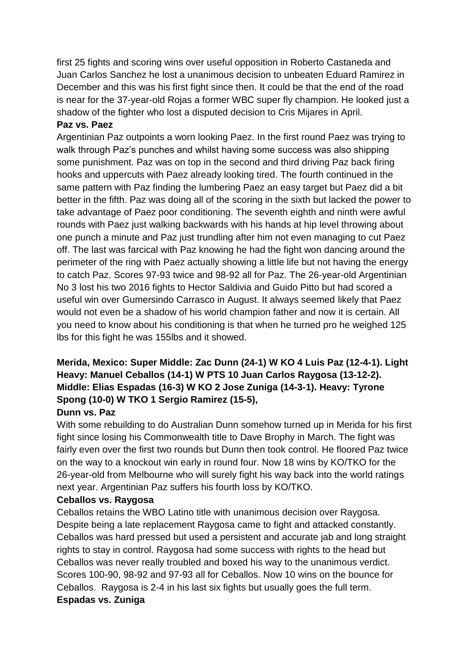first 25 fights and scoring wins over useful opposition in Roberto Castaneda and Juan Carlos Sanchez he lost a unanimous decision to unbeaten Eduard Ramirez in December and this was his first fight since then. It could be that the end of the road is near for the 37-year-old Rojas a former WBC super fly champion. He looked just a shadow of the fighter who lost a disputed decision to Cris Mijares in April.

## **Paz vs. Paez**

Argentinian Paz outpoints a worn looking Paez. In the first round Paez was trying to walk through Paz's punches and whilst having some success was also shipping some punishment. Paz was on top in the second and third driving Paz back firing hooks and uppercuts with Paez already looking tired. The fourth continued in the same pattern with Paz finding the lumbering Paez an easy target but Paez did a bit better in the fifth. Paz was doing all of the scoring in the sixth but lacked the power to take advantage of Paez poor conditioning. The seventh eighth and ninth were awful rounds with Paez just walking backwards with his hands at hip level throwing about one punch a minute and Paz just trundling after him not even managing to cut Paez off. The last was farcical with Paz knowing he had the fight won dancing around the perimeter of the ring with Paez actually showing a little life but not having the energy to catch Paz. Scores 97-93 twice and 98-92 all for Paz. The 26-year-old Argentinian No 3 lost his two 2016 fights to Hector Saldivia and Guido Pitto but had scored a useful win over Gumersindo Carrasco in August. It always seemed likely that Paez would not even be a shadow of his world champion father and now it is certain. All you need to know about his conditioning is that when he turned pro he weighed 125 lbs for this fight he was 155lbs and it showed.

# **Merida, Mexico: Super Middle: Zac Dunn (24-1) W KO 4 Luis Paz (12-4-1). Light Heavy: Manuel Ceballos (14-1) W PTS 10 Juan Carlos Raygosa (13-12-2). Middle: Elias Espadas (16-3) W KO 2 Jose Zuniga (14-3-1). Heavy: Tyrone Spong (10-0) W TKO 1 Sergio Ramirez (15-5),**

## **Dunn vs. Paz**

With some rebuilding to do Australian Dunn somehow turned up in Merida for his first fight since losing his Commonwealth title to Dave Brophy in March. The fight was fairly even over the first two rounds but Dunn then took control. He floored Paz twice on the way to a knockout win early in round four. Now 18 wins by KO/TKO for the 26-year-old from Melbourne who will surely fight his way back into the world ratings next year. Argentinian Paz suffers his fourth loss by KO/TKO.

### **Ceballos vs. Raygosa**

Ceballos retains the WBO Latino title with unanimous decision over Raygosa. Despite being a late replacement Raygosa came to fight and attacked constantly. Ceballos was hard pressed but used a persistent and accurate jab and long straight rights to stay in control. Raygosa had some success with rights to the head but Ceballos was never really troubled and boxed his way to the unanimous verdict. Scores 100-90, 98-92 and 97-93 all for Ceballos. Now 10 wins on the bounce for Ceballos. Raygosa is 2-4 in his last six fights but usually goes the full term. **Espadas vs. Zuniga**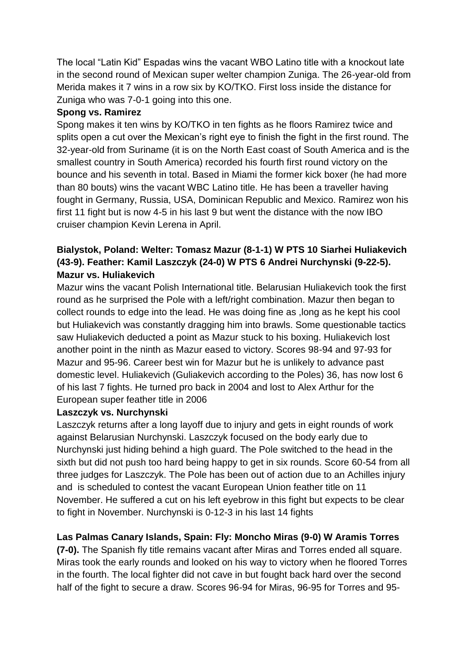The local "Latin Kid" Espadas wins the vacant WBO Latino title with a knockout late in the second round of Mexican super welter champion Zuniga. The 26-year-old from Merida makes it 7 wins in a row six by KO/TKO. First loss inside the distance for Zuniga who was 7-0-1 going into this one.

## **Spong vs. Ramirez**

Spong makes it ten wins by KO/TKO in ten fights as he floors Ramirez twice and splits open a cut over the Mexican's right eye to finish the fight in the first round. The 32-year-old from Suriname (it is on the North East coast of South America and is the smallest country in South America) recorded his fourth first round victory on the bounce and his seventh in total. Based in Miami the former kick boxer (he had more than 80 bouts) wins the vacant WBC Latino title. He has been a traveller having fought in Germany, Russia, USA, Dominican Republic and Mexico. Ramirez won his first 11 fight but is now 4-5 in his last 9 but went the distance with the now IBO cruiser champion Kevin Lerena in April.

# **Bialystok, Poland: Welter: Tomasz Mazur (8-1-1) W PTS 10 Siarhei Huliakevich (43-9). Feather: Kamil Laszczyk (24-0) W PTS 6 Andrei Nurchynski (9-22-5). Mazur vs. Huliakevich**

Mazur wins the vacant Polish International title. Belarusian Huliakevich took the first round as he surprised the Pole with a left/right combination. Mazur then began to collect rounds to edge into the lead. He was doing fine as ,long as he kept his cool but Huliakevich was constantly dragging him into brawls. Some questionable tactics saw Huliakevich deducted a point as Mazur stuck to his boxing. Huliakevich lost another point in the ninth as Mazur eased to victory. Scores 98-94 and 97-93 for Mazur and 95-96. Career best win for Mazur but he is unlikely to advance past domestic level. Huliakevich (Guliakevich according to the Poles) 36, has now lost 6 of his last 7 fights. He turned pro back in 2004 and lost to Alex Arthur for the European super feather title in 2006

### **Laszczyk vs. Nurchynski**

Laszczyk returns after a long layoff due to injury and gets in eight rounds of work against Belarusian Nurchynski. Laszczyk focused on the body early due to Nurchynski just hiding behind a high guard. The Pole switched to the head in the sixth but did not push too hard being happy to get in six rounds. Score 60-54 from all three judges for Laszczyk. The Pole has been out of action due to an Achilles injury and is scheduled to contest the vacant European Union feather title on 11 November. He suffered a cut on his left eyebrow in this fight but expects to be clear to fight in November. Nurchynski is 0-12-3 in his last 14 fights

# **Las Palmas Canary Islands, Spain: Fly: Moncho Miras (9-0) W Aramis Torres**

**(7-0).** The Spanish fly title remains vacant after Miras and Torres ended all square. Miras took the early rounds and looked on his way to victory when he floored Torres in the fourth. The local fighter did not cave in but fought back hard over the second half of the fight to secure a draw. Scores 96-94 for Miras, 96-95 for Torres and 95